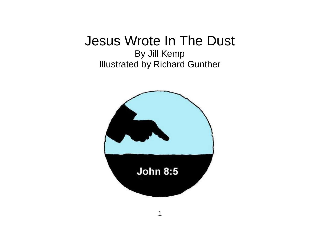## Jesus Wrote In The Dust

By Jill Kemp Illustrated by Richard Gunther

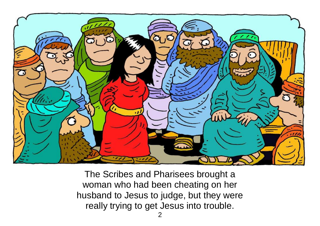

The Scribes and Pharisees brought a woman who had been cheating on her husband to Jesus to judge, but they were really trying to get Jesus into trouble.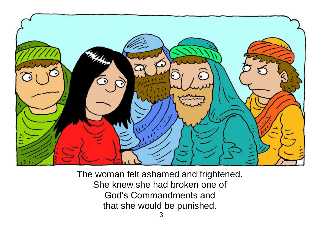

The woman felt ashamed and frightened. She knew she had broken one of God's Commandments and that she would be punished.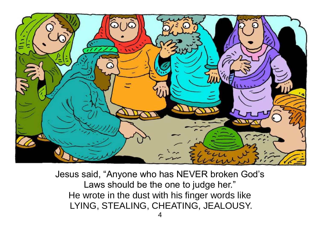

Jesus said, "Anyone who has NEVER broken God's Laws should be the one to judge her." He wrote in the dust with his finger words like LYING, STEALING, CHEATING, JEALOUSY.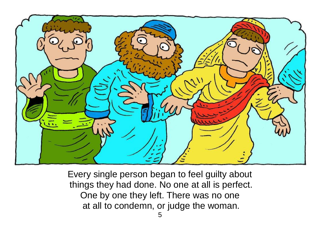

Every single person began to feel guilty about things they had done. No one at all is perfect. One by one they left. There was no one at all to condemn, or judge the woman.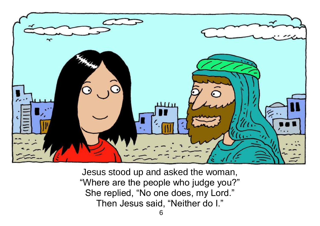

Jesus stood up and asked the woman, "Where are the people who judge you?" She replied, "No one does, my Lord." Then Jesus said, "Neither do I."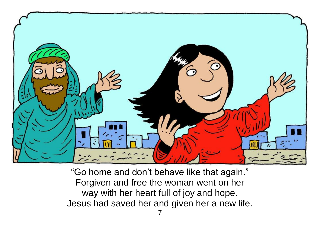

"Go home and don't behave like that again." Forgiven and free the woman went on her way with her heart full of joy and hope. Jesus had saved her and given her a new life.